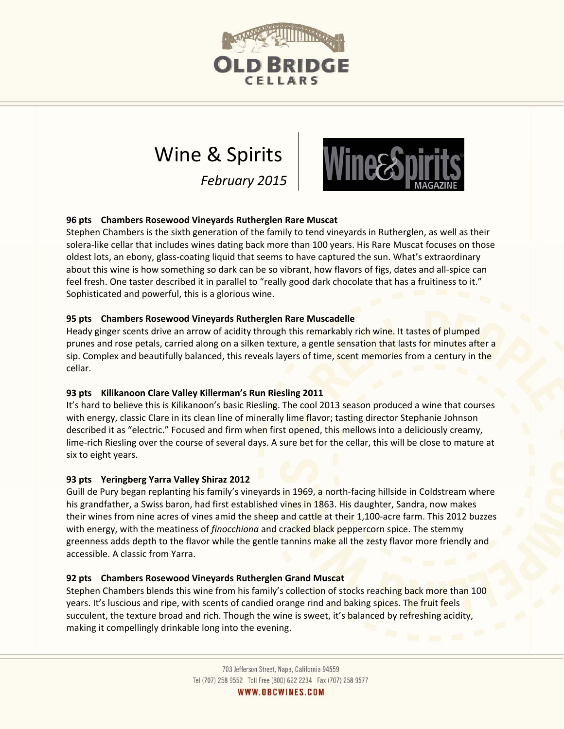

# Wine & Spirits

*February 2015*



## **96 pts Chambers Rosewood Vineyards Rutherglen Rare Muscat**

Stephen Chambers is the sixth generation of the family to tend vineyards in Rutherglen, as well as their solera‐like cellar that includes wines dating back more than 100 years. His Rare Muscat focuses on those oldest lots, an ebony, glass‐coating liquid that seems to have captured the sun. What's extraordinary about this wine is how something so dark can be so vibrant, how flavors of figs, dates and all‐spice can feel fresh. One taster described it in parallel to "really good dark chocolate that has a fruitiness to it." Sophisticated and powerful, this is a glorious wine.

## **95 pts Chambers Rosewood Vineyards Rutherglen Rare Muscadelle**

Heady ginger scents drive an arrow of acidity through this remarkably rich wine. It tastes of plumped prunes and rose petals, carried along on a silken texture, a gentle sensation that lasts for minutes after a sip. Complex and beautifully balanced, this reveals layers of time, scent memories from a century in the cellar.

## **93 pts Kilikanoon Clare Valley Killerman's Run Riesling 2011**

It's hard to believe this is Kilikanoon's basic Riesling. The cool 2013 season produced a wine that courses with energy, classic Clare in its clean line of minerally lime flavor; tasting director Stephanie Johnson described it as "electric." Focused and firm when first opened, this mellows into a deliciously creamy, lime‐rich Riesling over the course of several days. A sure bet for the cellar, this will be close to mature at six to eight years.

## **93 pts Yeringberg Yarra Valley Shiraz 2012**

Guill de Pury began replanting his family's vineyards in 1969, a north‐facing hillside in Coldstream where his grandfather, a Swiss baron, had first established vines in 1863. His daughter, Sandra, now makes their wines from nine acres of vines amid the sheep and cattle at their 1,100-acre farm. This 2012 buzzes with energy, with the meatiness of *finocchiona* and cracked black peppercorn spice. The stemmy greenness adds depth to the flavor while the gentle tannins make all the zesty flavor more friendly and accessible. A classic from Yarra.

## **92 pts Chambers Rosewood Vineyards Rutherglen Grand Muscat**

Stephen Chambers blends this wine from his family's collection of stocks reaching back more than 100 years. It's luscious and ripe, with scents of candied orange rind and baking spices. The fruit feels succulent, the texture broad and rich. Though the wine is sweet, it's balanced by refreshing acidity, making it compellingly drinkable long into the evening.

WWW.OBCWINES.COM